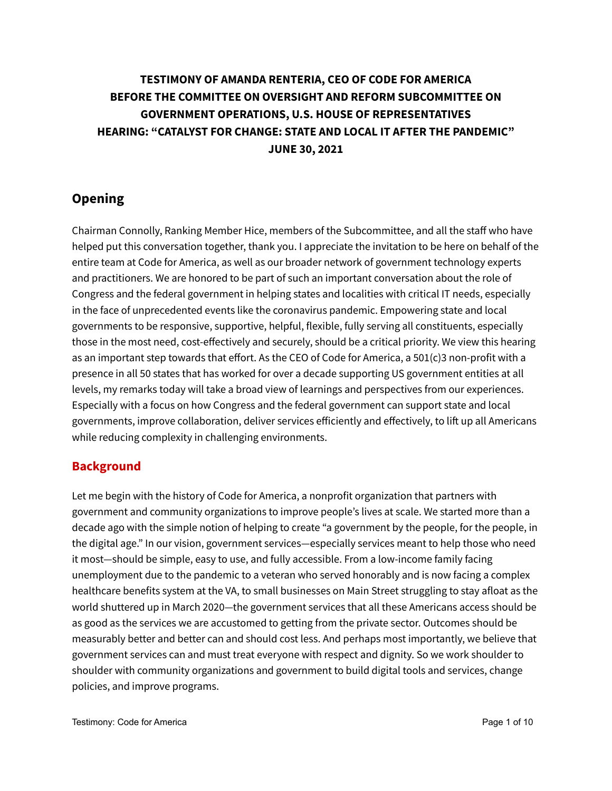## **TESTIMONY OF AMANDA RENTERIA, CEO OF CODE FOR AMERICA BEFORE THE COMMITTEE ON OVERSIGHT AND REFORM SUBCOMMITTEE ON GOVERNMENT OPERATIONS, U.S. HOUSE OF REPRESENTATIVES HEARING: "CATALYST FOR CHANGE: STATE AND LOCAL IT AFTER THE PANDEMIC" JUNE 30, 2021**

### **Opening**

Chairman Connolly, Ranking Member Hice, members of the Subcommittee, and all the staff who have helped put this conversation together, thank you. I appreciate the invitation to be here on behalf of the entire team at Code for America, as well as our broader network of government technology experts and practitioners. We are honored to be part of such an important conversation about the role of Congress and the federal government in helping states and localities with critical IT needs, especially in the face of unprecedented events like the coronavirus pandemic. Empowering state and local governments to be responsive, supportive, helpful, flexible, fully serving all constituents, especially those in the most need, cost-effectively and securely, should be a critical priority. We view this hearing as an important step towards that effort. As the CEO of Code for America, a 501(c)3 non-profit with a presence in all 50 states that has worked for over a decade supporting US government entities at all levels, my remarks today will take a broad view of learnings and perspectives from our experiences. Especially with a focus on how Congress and the federal government can support state and local governments, improve collaboration, deliver services efficiently and effectively, to lift up all Americans while reducing complexity in challenging environments.

#### **Background**

Let me begin with the history of Code for America, a nonprofit organization that partners with government and community organizations to improve people's lives at scale. We started more than a decade ago with the simple notion of helping to create "a government by the people, for the people, in the digital age." In our vision, government services—especially services meant to help those who need it most—should be simple, easy to use, and fully accessible. From a low-income family facing unemployment due to the pandemic to a veteran who served honorably and is now facing a complex healthcare benefits system at the VA, to small businesses on Main Street struggling to stay afloat as the world shuttered up in March 2020—the government services that all these Americans access should be as good as the services we are accustomed to getting from the private sector. Outcomes should be measurably better and better can and should cost less. And perhaps most importantly, we believe that government services can and must treat everyone with respect and dignity. So we work shoulder to shoulder with community organizations and government to build digital tools and services, change policies, and improve programs.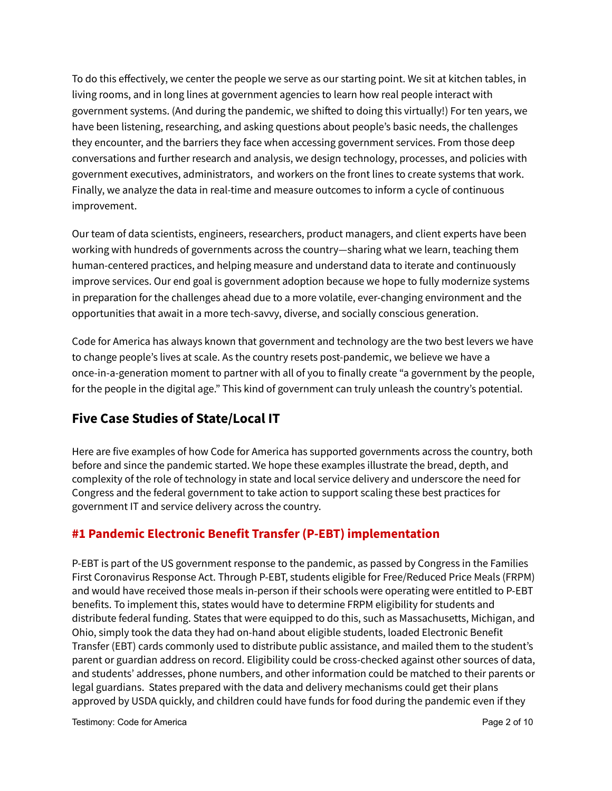To do this effectively, we center the people we serve as our starting point. We sit at kitchen tables, in living rooms, and in long lines at government agencies to learn how real people interact with government systems. (And during the pandemic, we shifted to doing this virtually!) For ten years, we have been listening, researching, and asking questions about people's basic needs, the challenges they encounter, and the barriers they face when accessing government services. From those deep conversations and further research and analysis, we design technology, processes, and policies with government executives, administrators, and workers on the front lines to create systems that work. Finally, we analyze the data in real-time and measure outcomes to inform a cycle of continuous improvement.

Our team of data scientists, engineers, researchers, product managers, and client experts have been working with hundreds of governments across the country—sharing what we learn, teaching them human-centered practices, and helping measure and understand data to iterate and continuously improve services. Our end goal is government adoption because we hope to fully modernize systems in preparation for the challenges ahead due to a more volatile, ever-changing environment and the opportunities that await in a more tech-savvy, diverse, and socially conscious generation.

Code for America has always known that government and technology are the two best levers we have to change people's lives at scale. As the country resets post-pandemic, we believe we have a once-in-a-generation moment to partner with all of you to finally create "a government by the people, for the people in the digital age." This kind of government can truly unleash the country's potential.

### **Five Case Studies of State/Local IT**

Here are five examples of how Code for America has supported governments across the country, both before and since the pandemic started. We hope these examples illustrate the bread, depth, and complexity of the role of technology in state and local service delivery and underscore the need for Congress and the federal government to take action to support scaling these best practices for government IT and service delivery across the country.

### **#1 Pandemic Electronic Benefit Transfer (P-EBT) implementation**

P-EBT is part of the US government response to the pandemic, as passed by Congress in the Families First Coronavirus Response Act. Through P-EBT, students eligible for Free/Reduced Price Meals (FRPM) and would have received those meals in-person if their schools were operating were entitled to P-EBT benefits. To implement this, states would have to determine FRPM eligibility for students and distribute federal funding. States that were equipped to do this, such as Massachusetts, Michigan, and Ohio, simply took the data they had on-hand about eligible students, loaded Electronic Benefit Transfer (EBT) cards commonly used to distribute public assistance, and mailed them to the student's parent or guardian address on record. Eligibility could be cross-checked against other sources of data, and students' addresses, phone numbers, and other information could be matched to their parents or legal guardians. States prepared with the data and delivery mechanisms could get their plans approved by USDA quickly, and children could have funds for food during the pandemic even if they

Testimony: Code for America **Page 2 of 10**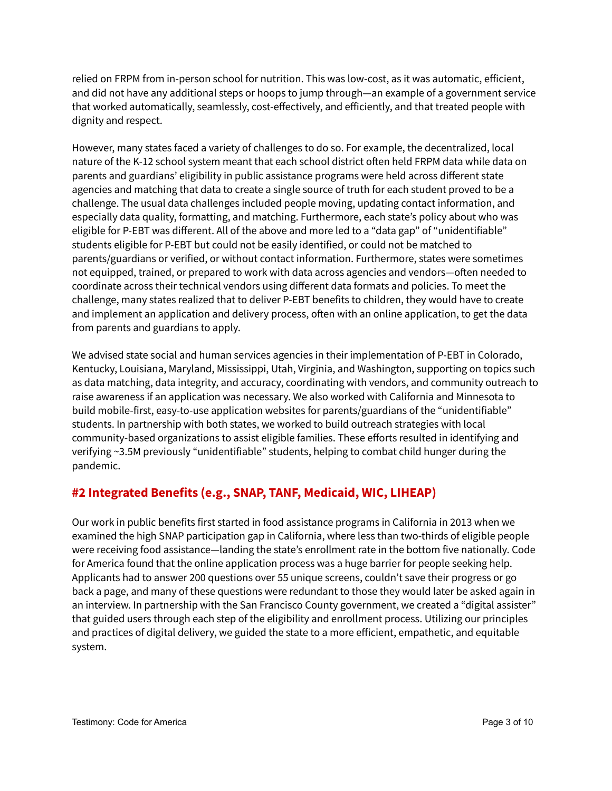relied on FRPM from in-person school for nutrition. This was low-cost, as it was automatic, efficient, and did not have any additional steps or hoops to jump through—an example of a government service that worked automatically, seamlessly, cost-effectively, and efficiently, and that treated people with dignity and respect.

However, many states faced a variety of challenges to do so. For example, the decentralized, local nature of the K-12 school system meant that each school district often held FRPM data while data on parents and guardians' eligibility in public assistance programs were held across different state agencies and matching that data to create a single source of truth for each student proved to be a challenge. The usual data challenges included people moving, updating contact information, and especially data quality, formatting, and matching. Furthermore, each state's policy about who was eligible for P-EBT was different. All of the above and more led to a "data gap" of "unidentifiable" students eligible for P-EBT but could not be easily identified, or could not be matched to parents/guardians or verified, or without contact information. Furthermore, states were sometimes not equipped, trained, or prepared to work with data across agencies and vendors—often needed to coordinate across their technical vendors using different data formats and policies. To meet the challenge, many states realized that to deliver P-EBT benefits to children, they would have to create and implement an application and delivery process, often with an online application, to get the data from parents and guardians to apply.

We advised state social and human services agencies in their implementation of P-EBT in Colorado, Kentucky, Louisiana, Maryland, Mississippi, Utah, Virginia, and Washington, supporting on topics such as data matching, data integrity, and accuracy, coordinating with vendors, and community outreach to raise awareness if an application was necessary. We also worked with California and Minnesota to build mobile-first, easy-to-use application websites for parents/guardians of the "unidentifiable" students. In partnership with both states, we worked to build outreach strategies with local community-based organizations to assist eligible families. These efforts resulted in identifying and verifying ~3.5M previously "unidentifiable" students, helping to combat child hunger during the pandemic.

#### **#2 Integrated Benefits (e.g., SNAP, TANF, Medicaid, WIC, LIHEAP)**

Our work in public benefits first started in food assistance programs in California in 2013 when we examined the high SNAP participation gap in California, where less than two-thirds of eligible people were receiving food assistance—landing the state's enrollment rate in the bottom five nationally. Code for America found that the online application process was a huge barrier for people seeking help. Applicants had to answer 200 questions over 55 unique screens, couldn't save their progress or go back a page, and many of these questions were redundant to those they would later be asked again in an interview. In partnership with the San Francisco County government, we created a "digital assister" that guided users through each step of the eligibility and enrollment process. Utilizing our principles and practices of digital delivery, we guided the state to a more efficient, empathetic, and equitable system.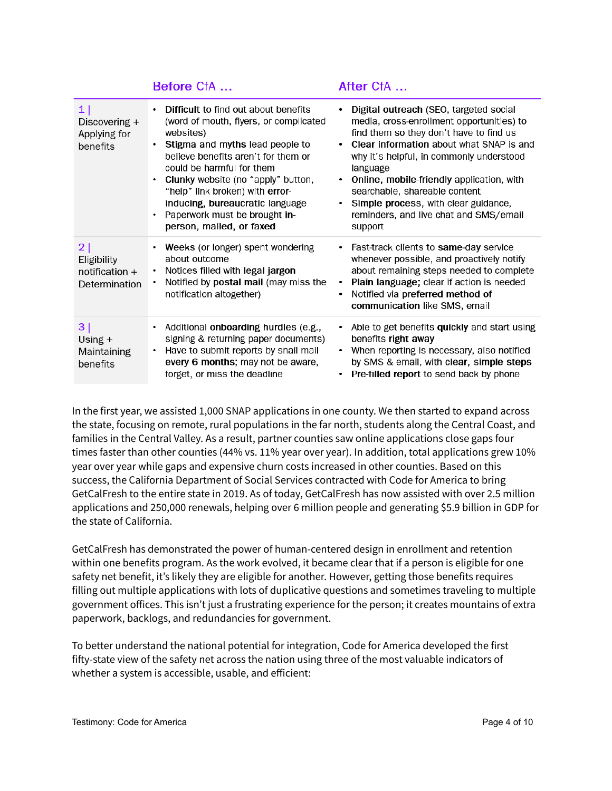|                                                      | <b>Before CfA</b>                                                                                                                                                                                                                                                                                                                                                           | After CfA …                                                                                                                                                                                                                                                                                                                                                                                                             |
|------------------------------------------------------|-----------------------------------------------------------------------------------------------------------------------------------------------------------------------------------------------------------------------------------------------------------------------------------------------------------------------------------------------------------------------------|-------------------------------------------------------------------------------------------------------------------------------------------------------------------------------------------------------------------------------------------------------------------------------------------------------------------------------------------------------------------------------------------------------------------------|
| 1 <br>Discovering $+$<br>Applying for<br>benefits    | Difficult to find out about benefits<br>(word of mouth, flyers, or complicated<br>websites)<br>Stigma and myths lead people to<br>believe benefits aren't for them or<br>could be harmful for them<br>Clunky website (no "apply" button,<br>"help" link broken) with error-<br>inducing, bureaucratic language<br>Paperwork must be brought in-<br>person, mailed, or faxed | Digital outreach (SEO, targeted social<br>media, cross-enrollment opportunities) to<br>find them so they don't have to find us<br>Clear information about what SNAP is and<br>٠<br>why it's helpful, in commonly understood<br>language<br>Online, mobile-friendly application, with<br>٠<br>searchable, shareable content<br>Simple process, with clear guidance,<br>reminders, and live chat and SMS/email<br>support |
| 2 <br>Eligibility<br>notification +<br>Determination | Weeks (or longer) spent wondering<br>about outcome<br>Notices filled with legal jargon<br>٠<br>Notified by postal mail (may miss the<br>notification altogether)                                                                                                                                                                                                            | Fast-track clients to same-day service<br>٠<br>whenever possible, and proactively notify<br>about remaining steps needed to complete<br>Plain language; clear if action is needed<br>٠<br>Notified via preferred method of<br>$\bullet$<br>communication like SMS, email                                                                                                                                                |
| 3 <br>Using $+$<br>Maintaining<br>benefits           | Additional onboarding hurdles (e.g.,<br>signing & returning paper documents)<br>Have to submit reports by snail mail<br>every 6 months; may not be aware,<br>forget, or miss the deadline                                                                                                                                                                                   | Able to get benefits quickly and start using<br>٠<br>benefits right away<br>When reporting is necessary, also notified<br>٠<br>by SMS & email, with clear, simple steps<br>Pre-filled report to send back by phone                                                                                                                                                                                                      |

In the first year, we assisted 1,000 SNAP applications in one county. We then started to expand across the state, focusing on remote, rural populations in the far north, students along the Central Coast, and families in the Central Valley. As a result, partner counties saw online applications close gaps four times faster than other counties (44% vs. 11% year over year). In addition, total applications grew 10% year over year while gaps and expensive churn costs increased in other counties. Based on this success, the California Department of Social Services contracted with Code for America to bring GetCalFresh to the entire state in 2019. As of today, GetCalFresh has now assisted with over 2.5 million applications and 250,000 renewals, helping over 6 million people and generating \$5.9 billion in GDP for the state of California.

GetCalFresh has demonstrated the power of human-centered design in enrollment and retention within one benefits program. As the work evolved, it became clear that if a person is eligible for one safety net benefit, it's likely they are eligible for another. However, getting those benefits requires filling out multiple applications with lots of duplicative questions and sometimes traveling to multiple government offices. This isn't just a frustrating experience for the person; it creates mountains of extra paperwork, backlogs, and redundancies for government.

To better understand the national potential for integration, Code for America developed the first fifty-state view of the safety net across the nation using three of the most valuable indicators of whether a system is accessible, usable, and efficient: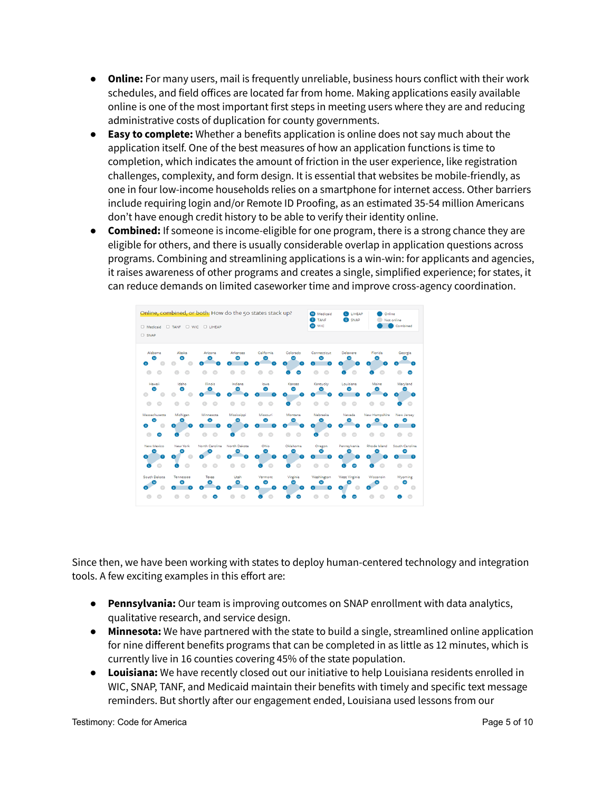- **Online:** For many users, mail is frequently unreliable, business hours conflict with their work schedules, and field offices are located far from home. Making applications easily available online is one of the most important first steps in meeting users where they are and reducing administrative costs of duplication for county governments.
- **Easy to complete:** Whether a benefits application is online does not say much about the application itself. One of the best measures of how an application functions is time to completion, which indicates the amount of friction in the user experience, like registration challenges, complexity, and form design. It is essential that websites be mobile-friendly, as one in four low-income households relies on a smartphone for internet access. Other barriers include requiring login and/or Remote ID Proofing, as an estimated 35-54 million Americans don't have enough credit history to be able to verify their identity online.
- **Combined:** If someone is income-eligible for one program, there is a strong chance they are eligible for others, and there is usually considerable overlap in application questions across programs. Combining and streamlining applications is a win-win: for applicants and agencies, it raises awareness of other programs and creates a single, simplified experience; for states, it can reduce demands on limited caseworker time and improve cross-agency coordination.



Since then, we have been working with states to deploy human-centered technology and integration tools. A few exciting examples in this effort are:

- **Pennsylvania:** Our team is improving outcomes on SNAP enrollment with data analytics, qualitative research, and service design.
- **Minnesota:** We have partnered with the state to build a single, streamlined online application for nine different benefits programs that can be completed in as little as 12 minutes, which is currently live in 16 counties covering 45% of the state population.
- **Louisiana:** We have recently closed out our initiative to help Louisiana residents enrolled in WIC, SNAP, TANF, and Medicaid maintain their benefits with timely and specific text message reminders. But shortly after our engagement ended, Louisiana used lessons from our

Testimony: Code for America **Page 10** of 10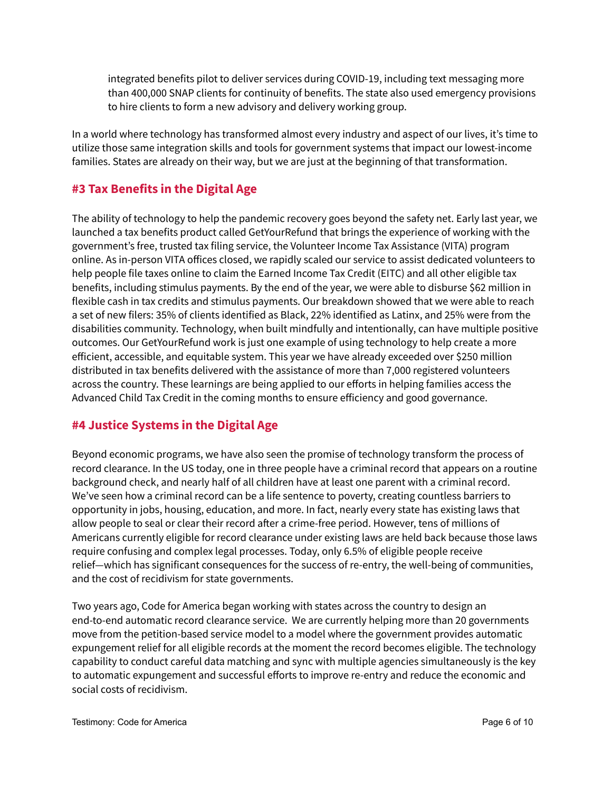integrated benefits pilot to deliver services during COVID-19, including text messaging more than 400,000 SNAP clients for continuity of benefits. The state also used emergency provisions to hire clients to form a new advisory and delivery working group.

In a world where technology has transformed almost every industry and aspect of our lives, it's time to utilize those same integration skills and tools for government systems that impact our lowest-income families. States are already on their way, but we are just at the beginning of that transformation.

#### **#3 Tax Benefits in the Digital Age**

The ability of technology to help the pandemic recovery goes beyond the safety net. Early last year, we launched a tax benefits product called GetYourRefund that brings the experience of working with the government's free, trusted tax filing service, the Volunteer Income Tax Assistance (VITA) program online. As in-person VITA offices closed, we rapidly scaled our service to assist dedicated volunteers to help people file taxes online to claim the Earned Income Tax Credit (EITC) and all other eligible tax benefits, including stimulus payments. By the end of the year, we were able to disburse \$62 million in flexible cash in tax credits and stimulus payments. Our breakdown showed that we were able to reach a set of new filers: 35% of clients identified as Black, 22% identified as Latinx, and 25% were from the disabilities community. Technology, when built mindfully and intentionally, can have multiple positive outcomes. Our GetYourRefund work is just one example of using technology to help create a more efficient, accessible, and equitable system. This year we have already exceeded over \$250 million distributed in tax benefits delivered with the assistance of more than 7,000 registered volunteers across the country. These learnings are being applied to our efforts in helping families access the Advanced Child Tax Credit in the coming months to ensure efficiency and good governance.

#### **#4 Justice Systems in the Digital Age**

Beyond economic programs, we have also seen the promise of technology transform the process of record clearance. In the US today, one in three people have a criminal record that appears on a routine background check, and nearly half of all children have at least one parent with a criminal record. We've seen how a criminal record can be a life sentence to poverty, creating countless barriers to opportunity in jobs, housing, education, and more. In fact, nearly every state has existing laws that allow people to seal or clear their record after a crime-free period. However, tens of millions of Americans currently eligible for record clearance under existing laws are held back because those laws require confusing and complex legal processes. Today, only 6.5% of eligible people receive relief—which has significant consequences for the success of re-entry, the well-being of communities, and the cost of recidivism for state governments.

Two years ago, Code for America began working with states across the country to design an end-to-end automatic record clearance service. We are currently helping more than 20 governments move from the petition-based service model to a model where the government provides automatic expungement relief for all eligible records at the moment the record becomes eligible. The technology capability to conduct careful data matching and sync with multiple agencies simultaneously is the key to automatic expungement and successful efforts to improve re-entry and reduce the economic and social costs of recidivism.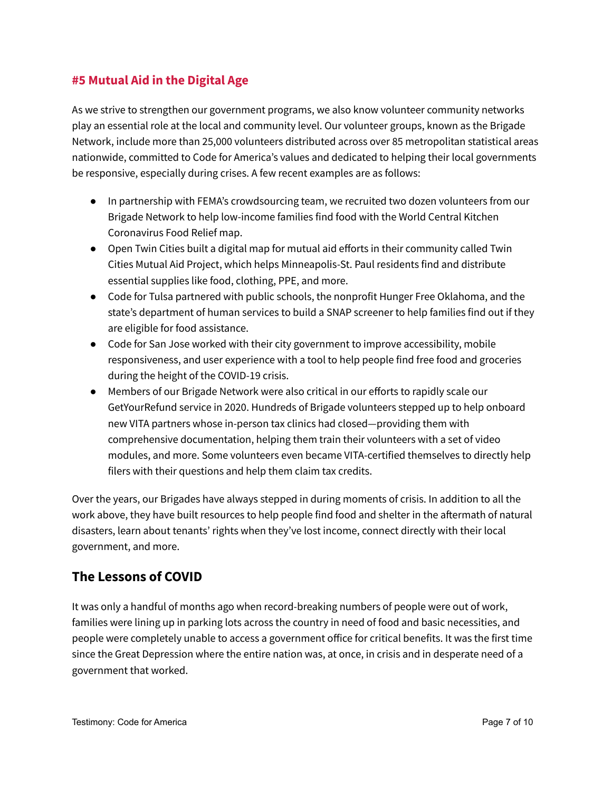#### **#5 Mutual Aid in the Digital Age**

As we strive to strengthen our government programs, we also know volunteer community networks play an essential role at the local and community level. Our volunteer groups, known as the Brigade Network, include more than 25,000 volunteers distributed across over 85 metropolitan statistical areas nationwide, committed to Code for America's values and dedicated to helping their local governments be responsive, especially during crises. A few recent examples are as follows:

- In partnership with FEMA's crowdsourcing team, we recruited two dozen volunteers from our Brigade Network to help low-income families find food with the World Central Kitchen Coronavirus Food Relief map.
- Open Twin Cities built a digital map for mutual aid efforts in their community called Twin Cities Mutual Aid Project, which helps Minneapolis-St. Paul residents find and distribute essential supplies like food, clothing, PPE, and more.
- Code for Tulsa partnered with public schools, the nonprofit Hunger Free Oklahoma, and the state's department of human services to build a SNAP screener to help families find out if they are eligible for food assistance.
- Code for San Jose worked with their city government to improve accessibility, mobile responsiveness, and user experience with a tool to help people find free food and groceries during the height of the COVID-19 crisis.
- Members of our Brigade Network were also critical in our efforts to rapidly scale our GetYourRefund service in 2020. Hundreds of Brigade volunteers stepped up to help onboard new VITA partners whose in-person tax clinics had closed—providing them with comprehensive documentation, helping them train their volunteers with a set of video modules, and more. Some volunteers even became VITA-certified themselves to directly help filers with their questions and help them claim tax credits.

Over the years, our Brigades have always stepped in during moments of crisis. In addition to all the work above, they have built resources to help people find food and shelter in the aftermath of natural disasters, learn about tenants' rights when they've lost income, connect directly with their local government, and more.

### **The Lessons of COVID**

It was only a handful of months ago when record-breaking numbers of people were out of work, families were lining up in parking lots across the country in need of food and basic necessities, and people were completely unable to access a government office for critical benefits. It was the first time since the Great Depression where the entire nation was, at once, in crisis and in desperate need of a government that worked.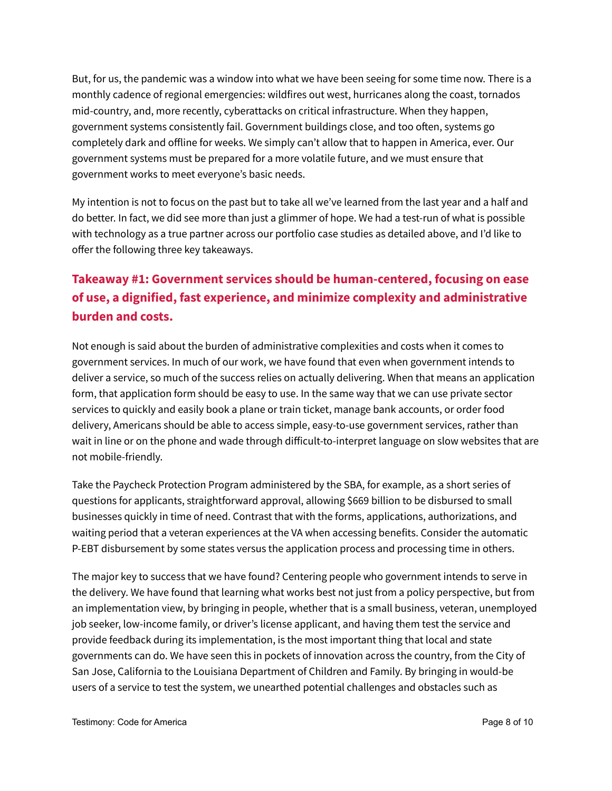But, for us, the pandemic was a window into what we have been seeing for some time now. There is a monthly cadence of regional emergencies: wildfires out west, hurricanes along the coast, tornados mid-country, and, more recently, cyberattacks on critical infrastructure. When they happen, government systems consistently fail. Government buildings close, and too often, systems go completely dark and offline for weeks. We simply can't allow that to happen in America, ever. Our government systems must be prepared for a more volatile future, and we must ensure that government works to meet everyone's basic needs.

My intention is not to focus on the past but to take all we've learned from the last year and a half and do better. In fact, we did see more than just a glimmer of hope. We had a test-run of what is possible with technology as a true partner across our portfolio case studies as detailed above, and I'd like to offer the following three key takeaways.

# **Takeaway #1: Government services should be human-centered, focusing on ease of use, a dignified, fast experience, and minimize complexity and administrative burden and costs.**

Not enough is said about the burden of administrative complexities and costs when it comes to government services. In much of our work, we have found that even when government intends to deliver a service, so much of the success relies on actually delivering. When that means an application form, that application form should be easy to use. In the same way that we can use private sector services to quickly and easily book a plane or train ticket, manage bank accounts, or order food delivery, Americans should be able to access simple, easy-to-use government services, rather than wait in line or on the phone and wade through difficult-to-interpret language on slow websites that are not mobile-friendly.

Take the Paycheck Protection Program administered by the SBA, for example, as a short series of questions for applicants, straightforward approval, allowing \$669 billion to be disbursed to small businesses quickly in time of need. Contrast that with the forms, applications, authorizations, and waiting period that a veteran experiences at the VA when accessing benefits. Consider the automatic P-EBT disbursement by some states versus the application process and processing time in others.

The major key to success that we have found? Centering people who government intends to serve in the delivery. We have found that learning what works best not just from a policy perspective, but from an implementation view, by bringing in people, whether that is a small business, veteran, unemployed job seeker, low-income family, or driver's license applicant, and having them test the service and provide feedback during its implementation, is the most important thing that local and state governments can do. We have seen this in pockets of innovation across the country, from the City of San Jose, California to the Louisiana Department of Children and Family. By bringing in would-be users of a service to test the system, we unearthed potential challenges and obstacles such as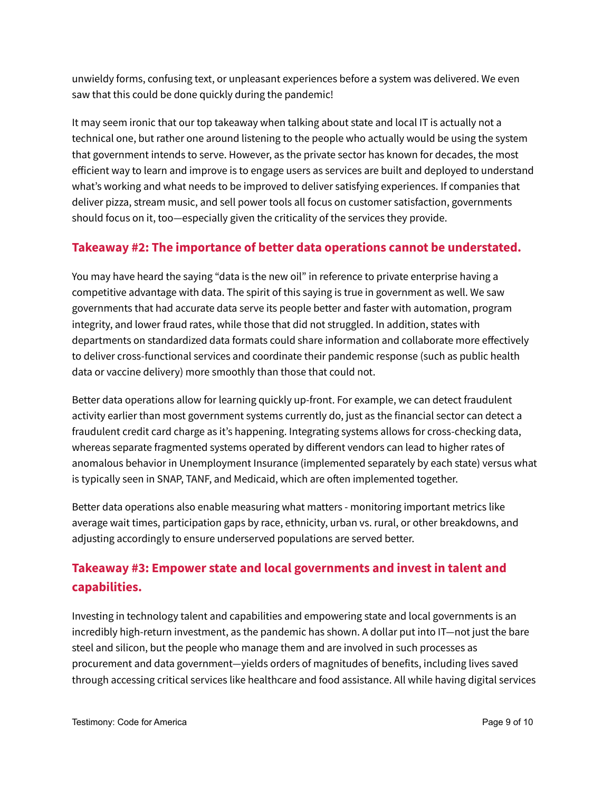unwieldy forms, confusing text, or unpleasant experiences before a system was delivered. We even saw that this could be done quickly during the pandemic!

It may seem ironic that our top takeaway when talking about state and local IT is actually not a technical one, but rather one around listening to the people who actually would be using the system that government intends to serve. However, as the private sector has known for decades, the most efficient way to learn and improve is to engage users as services are built and deployed to understand what's working and what needs to be improved to deliver satisfying experiences. If companies that deliver pizza, stream music, and sell power tools all focus on customer satisfaction, governments should focus on it, too—especially given the criticality of the services they provide.

#### **Takeaway #2: The importance of better data operations cannot be understated.**

You may have heard the saying "data is the new oil" in reference to private enterprise having a competitive advantage with data. The spirit of this saying is true in government as well. We saw governments that had accurate data serve its people better and faster with automation, program integrity, and lower fraud rates, while those that did not struggled. In addition, states with departments on standardized data formats could share information and collaborate more effectively to deliver cross-functional services and coordinate their pandemic response (such as public health data or vaccine delivery) more smoothly than those that could not.

Better data operations allow for learning quickly up-front. For example, we can detect fraudulent activity earlier than most government systems currently do, just as the financial sector can detect a fraudulent credit card charge as it's happening. Integrating systems allows for cross-checking data, whereas separate fragmented systems operated by different vendors can lead to higher rates of anomalous behavior in Unemployment Insurance (implemented separately by each state) versus what is typically seen in SNAP, TANF, and Medicaid, which are often implemented together.

Better data operations also enable measuring what matters - monitoring important metrics like average wait times, participation gaps by race, ethnicity, urban vs. rural, or other breakdowns, and adjusting accordingly to ensure underserved populations are served better.

# **Takeaway #3: Empower state and local governments and invest in talent and capabilities.**

Investing in technology talent and capabilities and empowering state and local governments is an incredibly high-return investment, as the pandemic has shown. A dollar put into IT—not just the bare steel and silicon, but the people who manage them and are involved in such processes as procurement and data government—yields orders of magnitudes of benefits, including lives saved through accessing critical services like healthcare and food assistance. All while having digital services